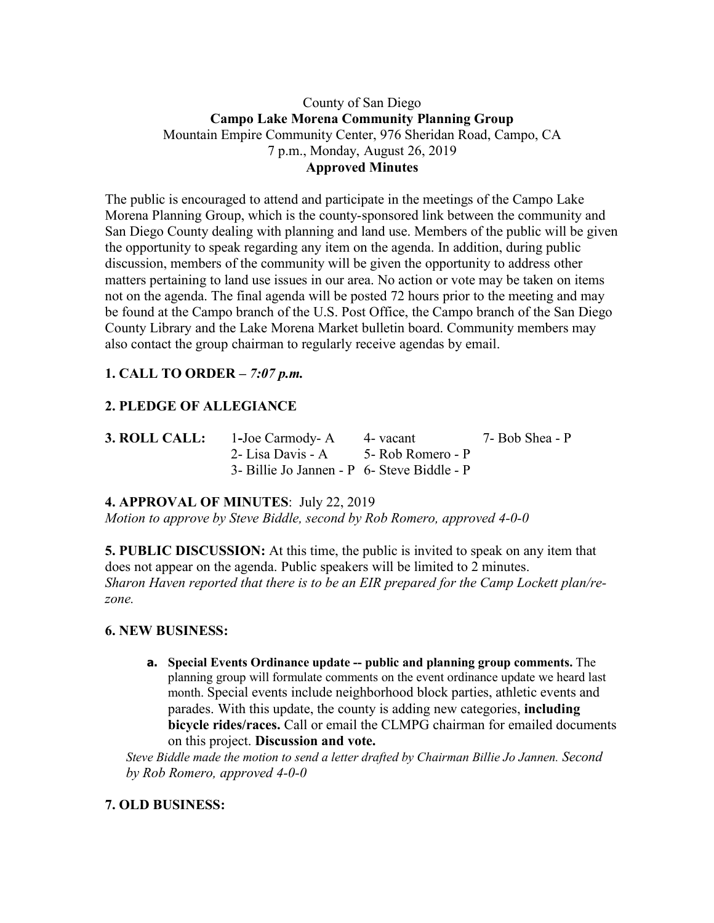# County of San Diego **Campo Lake Morena Community Planning Group** Mountain Empire Community Center, 976 Sheridan Road, Campo, CA 7 p.m., Monday, August 26, 2019 **Approved Minutes**

The public is encouraged to attend and participate in the meetings of the Campo Lake Morena Planning Group, which is the county-sponsored link between the community and San Diego County dealing with planning and land use. Members of the public will be given the opportunity to speak regarding any item on the agenda. In addition, during public discussion, members of the community will be given the opportunity to address other matters pertaining to land use issues in our area. No action or vote may be taken on items not on the agenda. The final agenda will be posted 72 hours prior to the meeting and may be found at the Campo branch of the U.S. Post Office, the Campo branch of the San Diego County Library and the Lake Morena Market bulletin board. Community members may also contact the group chairman to regularly receive agendas by email.

# **1. CALL TO ORDER –** *7:07 p.m.*

# **2. PLEDGE OF ALLEGIANCE**

| <b>3. ROLL CALL:</b> | 1-Joe Carmody- A 4- vacant                  | 7- Bob Shea - P |
|----------------------|---------------------------------------------|-----------------|
|                      | 2- Lisa Davis - A 5- Rob Romero - P         |                 |
|                      | 3- Billie Jo Jannen - P 6- Steve Biddle - P |                 |

**4. APPROVAL OF MINUTES**: July 22, 2019 *Motion to approve by Steve Biddle, second by Rob Romero, approved 4-0-0*

**5. PUBLIC DISCUSSION:** At this time, the public is invited to speak on any item that does not appear on the agenda. Public speakers will be limited to 2 minutes. *Sharon Haven reported that there is to be an EIR prepared for the Camp Lockett plan/rezone.*

### **6. NEW BUSINESS:**

**a. Special Events Ordinance update -- public and planning group comments.** The planning group will formulate comments on the event ordinance update we heard last month. Special events include neighborhood block parties, athletic events and parades. With this update, the county is adding new categories, **including bicycle rides/races.** Call or email the CLMPG chairman for emailed documents on this project. **Discussion and vote.**

*Steve Biddle made the motion to send a letter drafted by Chairman Billie Jo Jannen. Second by Rob Romero, approved 4-0-0*

# **7. OLD BUSINESS:**